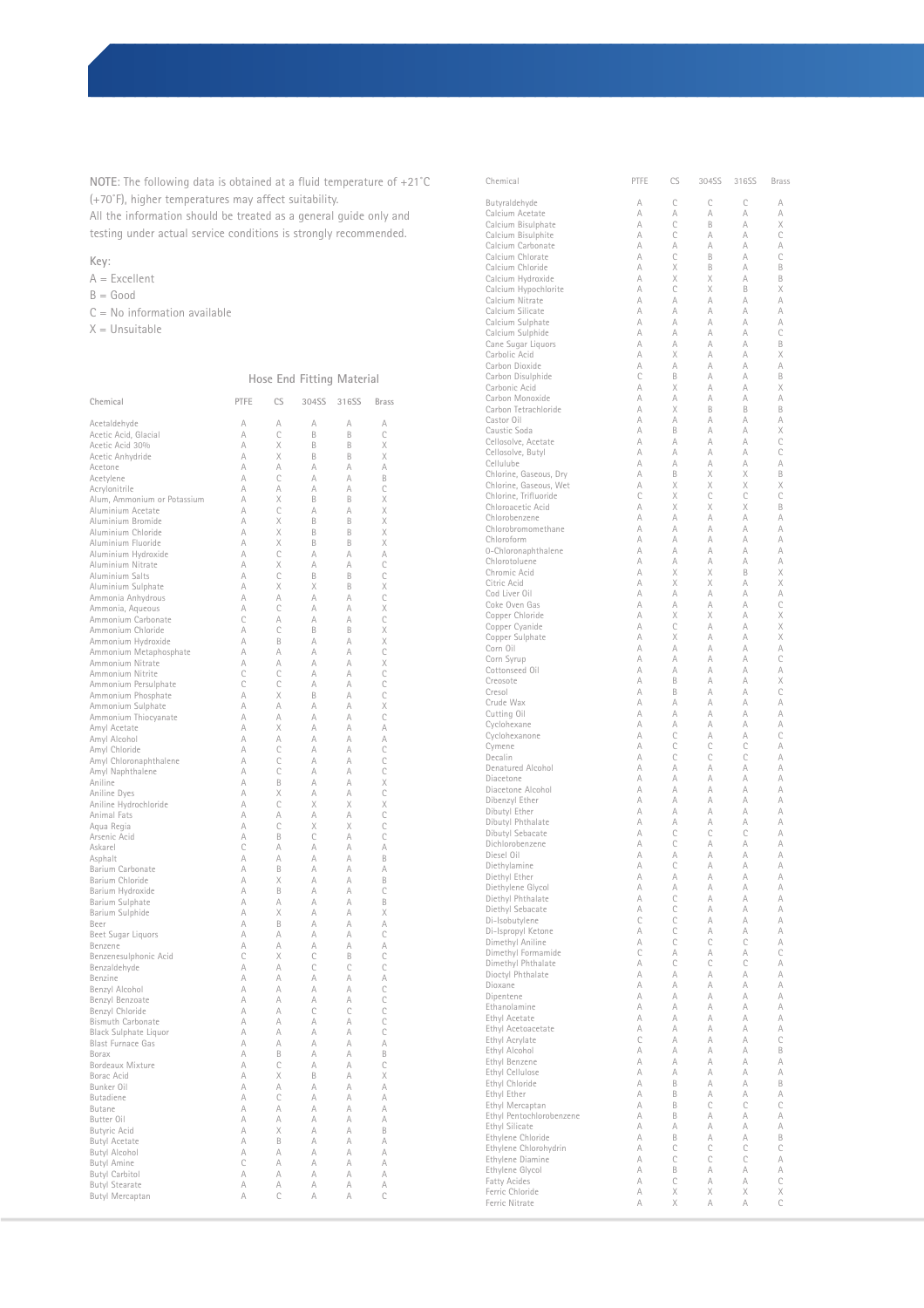**NOTE**: The following data is obtained at a fluid temperature of +21˚C (+70˚F), higher temperatures may affect suitability. All the information should be treated as a general guide only and

testing under actual service conditions is strongly recommended.

## **Key**:

A = Excellent

- $B = Good$
- $C = No$  information available
- $X =$  Unsuitable

## **Hose End Fitting Material**

| Chemical                                    | PTFE                | <b>CS</b>     | 304SS  | 316SS  | <b>Brass</b>         |
|---------------------------------------------|---------------------|---------------|--------|--------|----------------------|
| Acetaldehyde                                | A                   | A             | A      | A      | A                    |
| Acetic Acid, Glacial                        | A                   | Ċ             | B      | B      | C                    |
| Acetic Acid 30%                             | A                   | X             | B      | R      | X                    |
| Acetic Anhydride                            | A                   | X             | B      | B      | X                    |
| Acetone                                     | A                   | A             | A      | A      | A                    |
| Acetylene<br>Acrylonitrile                  | A<br>A              | C<br>A        | A<br>A | A<br>A | B<br>C               |
| Alum, Ammonium or Potassium                 | A                   | X             | B      | B      | X                    |
| Aluminium Acetate                           | A                   | C             | A      | A      |                      |
| Aluminium Bromide                           | A                   | X             | B      | B      | $\times\times\times$ |
| Aluminium Chloride                          | A                   | X             | B      | B      |                      |
| Aluminium Fluoride<br>Aluminium Hydroxide   | A<br>A              | X<br>C        | B<br>A | R<br>A | A                    |
| Aluminium Nitrate                           | A                   | X             | A      | A      | $\mathcal{C}$        |
| Aluminium Salts                             | A                   | C             | B      | B      | $\mathsf{C}$         |
| Aluminium Sulphate                          | A                   | X             | X      | B      | X                    |
| Ammonia Anhydrous                           | A                   | A             | A      | A      | $\mathsf{C}$         |
| Ammonia, Aqueous                            | A                   | C             | A      | A      | $\frac{X}{C}$        |
| Ammonium Carbonate<br>Ammonium Chloride     | Ċ<br>A              | A<br>C        | A<br>B | A<br>B |                      |
| Ammonium Hydroxide                          | A                   | B             | A      | A      | $\times$             |
| Ammonium Metaphosphate                      | A                   | A             | A      | A      |                      |
| Ammonium Nitrate                            | A                   | A             | A      | A      | X                    |
| Ammonium Nitrite                            | C                   | C             | A      | A      | C<br>C               |
| Ammonium Persulphate                        | C                   | Ċ             | A      | A      |                      |
| Ammonium Phosphate                          | A<br>A              | X<br>A        | B<br>A | A<br>A | $\mathsf{C}$<br>X    |
| Ammonium Sulphate<br>Ammonium Thiocyanate   | A                   | A             | A      | A      | C                    |
| Amyl Acetate                                | A                   | X             | A      | A      | A                    |
| Amyl Alcohol                                | A                   | A             | A      | A      | A                    |
| Amyl Chloride                               | A                   | Ċ             | A      | A      | C                    |
| Amyl Chloronaphthalene                      | A                   | C             | A      | A      | C                    |
| Amyl Naphthalene<br>Aniline                 | A<br>A              | C<br>B        | A<br>A | A<br>A | $\mathsf{C}$<br>X    |
| Aniline Dyes                                | A                   | X             | A      | A      | $\mathsf{C}$         |
| Aniline Hydrochloride                       | A                   | C             | X      | X      | X                    |
| Animal Fats                                 | A                   | A             | A      | A      | C                    |
| Aqua Regia                                  | A                   | C             | X      | X      | C                    |
| Arsenic Acid<br>Askarel                     | A<br>$\overline{C}$ | B<br>A        | C<br>A | A<br>A | C<br>A               |
| Asphalt                                     | A                   | A             | A      | A      | B                    |
| Barium Carbonate                            | A                   | B             | A      | A      | A                    |
| Barium Chloride                             | A                   | X             | A      | A      | B                    |
| Barium Hydroxide                            | A                   | B             | A      | A      | C                    |
| Barium Sulphate                             | A<br>A              | A<br>X        | A<br>A | A<br>A | B<br>X               |
| Barium Sulphide<br>Beer                     | A                   | B             | A      | A      | A                    |
| Beet Sugar Liquors                          | A                   | A             | A      | A      | C                    |
| Benzene                                     | A                   | A             | A      | A      | A                    |
| Benzenesulphonic Acid                       | $\overline{C}$      | X             | C      | B      | C                    |
| Benzaldehyde                                | A                   | A             | C      | C      | C                    |
| Benzine<br>Benzyl Alcohol                   | A<br>A              | A<br>A        | A<br>A | A<br>A | A<br>$\mathsf{C}$    |
| Benzyl Benzoate                             | A                   | A             | A      | A      | $\mathsf{C}$         |
| Benzyl Chloride                             | A                   | A             | C      | C      | C                    |
| <b>Bismuth Carbonate</b>                    | A                   | A             | A      | A      | C                    |
| Black Sulphate Liquor                       | A                   | A             | A      | A      | C                    |
| <b>Blast Furnace Gas</b>                    | A                   | A             | A      | A      | A                    |
| Borax<br>Bordeaux Mixture                   | A<br>A              | B<br>C        | A<br>A | A<br>A | B<br>C               |
| Borac Acid                                  | A                   | X             | B      | A      | X                    |
| Bunker Oil                                  | A                   | A             | A      | A      | A                    |
| <b>Butadiene</b>                            | A                   | C             | A      | A      | A                    |
| Butane                                      | A                   | A             | A      | A      | A                    |
| Butter Oil                                  | A<br>A              | A<br>X        | A      | A      | A                    |
| <b>Butyric Acid</b><br><b>Butyl Acetate</b> | A                   | B             | A<br>A | A<br>A | B<br>A               |
| Butyl Alcohol                               | A                   | A             | A      | A      | A                    |
| <b>Butyl Amine</b>                          | $\mathbf C$         | A             | A      | A      | A                    |
| <b>Butyl Carbitol</b>                       | A                   | A             | A      | A      | A                    |
| <b>Butyl Stearate</b>                       | A                   | A             | A      | A      | A                    |
| Butyl Mercaptan                             | A                   | $\mathcal{C}$ | A      | A      | C                    |

| Chemical                               | PTFE   | CS     | 304SS  | 316SS  | <b>Brass</b>  |
|----------------------------------------|--------|--------|--------|--------|---------------|
| Butyraldehyde                          | A      | C      | C      | C      | A             |
| Calcium Acetate                        | A      | A      | A      | A      | A             |
| Calcium Bisulphate                     | A      | C      | B      | A      | Χ             |
| Calcium Bisulphite                     | A      | C      | A      | A      | C             |
| Calcium Carbonate                      | A<br>A | A<br>C | A<br>B | A<br>A | A<br>C        |
| Calcium Chlorate<br>Calcium Chloride   | A      | Χ      | B      | A      | B             |
| Calcium Hydroxide                      | A      | X      | Χ      | A      | B             |
| Calcium Hypochlorite                   | A      | C      | Χ      | B      | X             |
| Calcium Nitrate                        | A      | A      | A      | А      | A             |
| Calcium Silicate                       | A      | A      | A      | A      | A             |
| Calcium Sulphate                       | A      | A      | A      | A      | A             |
| Calcium Sulphide                       | A<br>A | A<br>A | A<br>A | A<br>A | C             |
| Cane Sugar Liquors<br>Carbolic Acid    | A      | X      | A      | A      | B<br>Χ        |
| Carbon Dioxide                         | A      | A      | A      | A      | A             |
| Carbon Disulphide                      | С      | B      | A      | A      | B             |
| Carbonic Acid                          | A      | Χ      | A      | A      | Χ             |
| Carbon Monoxide                        | A      | A      | A      | A      | A             |
| Carbon Tetrachloride                   | A      | X      | B      | B      | B             |
| Castor Oil<br>Caustic Soda             | A<br>A | A<br>B | A<br>A | A<br>A | A<br>Χ        |
| Cellosolve, Acetate                    | A      | A      | A      | A      | C             |
| Cellosolve, Butyl                      | A      | A      | A      | A      | C             |
| Cellulube                              | A      | A      | A      | A      | A             |
| Chlorine, Gaseous, Dry                 | A      | B      | X      | Χ      | B             |
| Chlorine, Gaseous, Wet                 | A      | Χ      | Χ      | Χ      | Χ             |
| Chlorine, Trifluoride                  | C      | Χ      | C      | C      | C             |
| Chloroacetic Acid<br>Chlorobenzene     | A<br>A | X<br>A | X<br>A | X<br>A | B<br>A        |
| Chlorobromomethane                     | A      | A      | А      | A      | A             |
| Chloroform                             | A      | A      | A      | A      | A             |
| 0-Chloronaphthalene                    | A      | A      | A      | A      | A             |
| Chlorotoluene                          | A      | A      | A      | A      | A             |
| Chromic Acid                           | A      | X      | Χ      | B      | X             |
| Citric Acid                            | A      | Χ      | Χ      | A      | Χ             |
| Cod Liver Oil                          | A<br>A | A<br>A | А<br>A | A<br>A | A             |
| Coke Oven Gas<br>Copper Chloride       | A      | Χ      | X      | A      | C<br>Χ        |
| Copper Cyanide                         | A      | C      | A      | A      | Χ             |
| Copper Sulphate                        | A      | X      | A      | A      | X             |
| Corn Oil                               | A      | A      | A      | A      | A             |
| Corn Syrup                             | A      | A      | A      | A      | C             |
| Cottonseed Oil                         | A      | A      | A      | A      | A             |
| Creosote                               | A<br>A | B      | A<br>A | A<br>A | Χ<br>C        |
| Cresol<br>Crude Wax                    | A      | B<br>A | A      | A      | A             |
| Cutting Oil                            | A      | A      | A      | A      | A             |
| Cyclohexane                            | A      | A      | А      | A      | A             |
| Cyclohexanone                          | A      | C      | A      | A      | C             |
| Cymene                                 | A      | C      | C      | C      | A             |
| Decalin                                | A      | C      | C      | C      | A             |
| Denatured Alcohol                      | A<br>A | A<br>A | A<br>A | A<br>A | A<br>A        |
| Diacetone<br>Diacetone Alcohol         | A      | A      | A      | A      | A             |
| Dibenzyl Ether                         | A      | A      | A      | A      | A             |
| Dibutyl Ether                          | A      | A      | A      | A      | A             |
| Dibutyl Phthalate                      | A      | A      | A      | A      | A             |
| Dibutyl Sebacate                       | A      | C      | C      | C      | A             |
| Dichlorobenzene                        | A      | C      | A      | A      | A             |
| Diesel Oil                             | A<br>A | A<br>C | A<br>A | A<br>A | A<br>A        |
| Diethylamine<br>Diethyl Ether          | А      | А      | А      | А      | A             |
| Diethylene Glycol                      | А      | A      | А      | A      | А             |
| Diethyl Phthalate                      | A      | C      | A      | A      | A             |
| Diethyl Sebacate                       | A      | C      | A      | A      | A             |
| Di-Isobutylene                         | C      | C      | A      | А      | A             |
| Di-Ispropyl Ketone                     | A<br>A | C<br>C | A<br>C | A<br>C | A<br>A        |
| Dimethyl Aniline<br>Dimethyl Formamide | C      | A      | A      | A      | C             |
| Dimethyl Phthalate                     | A      | C      | C      | C      | A             |
| Dioctyl Phthalate                      | А      | A      | A      | A      | A             |
| Dioxane                                | A      | A      | А      | A      | A             |
| Dipentene                              | A      | A      | A      | A      | A             |
| Ethanolamine                           | A      | A      | A      | A      | A             |
| Ethyl Acetate                          | A      | A      | A      | A      | A             |
| Ethyl Acetoacetate                     | A<br>C | A<br>A | A<br>A | A<br>A | A<br>C        |
| Ethyl Acrylate<br>Ethyl Alcohol        | A      | A      | А      | A      | B             |
| Ethyl Benzene                          | A      | A      | A      | A      | A             |
| Ethyl Cellulose                        | A      | A      | A      | A      | A             |
| Ethyl Chloride                         | А      | B      | А      | A      | B             |
| Ethyl Ether                            | A      | B      | A      | A      | A             |
| Ethyl Mercaptan                        | A      | B      | C      | C      | C             |
| Ethyl Pentochlorobenzene               | А<br>A | B<br>A | А<br>A | А<br>A | A<br>A        |
| Ethyl Silicate<br>Ethylene Chloride    | A      | B      | А      | A      | B             |
| Ethylene Chlorohydrin                  | А      | C      | C      | C      | C             |
| Ethylene Diamine                       | A      | C      | C      | C      | A             |
| Ethylene Glycol                        | A      | B      | A      | A      | A             |
| <b>Fatty Acides</b>                    | А      | C      | A      | A      | $\mathcal{C}$ |
| Ferric Chloride                        | A      | Χ      | X      | X      | Χ             |
| Ferric Nitrate                         | A      | Χ      | A      | A      | C             |